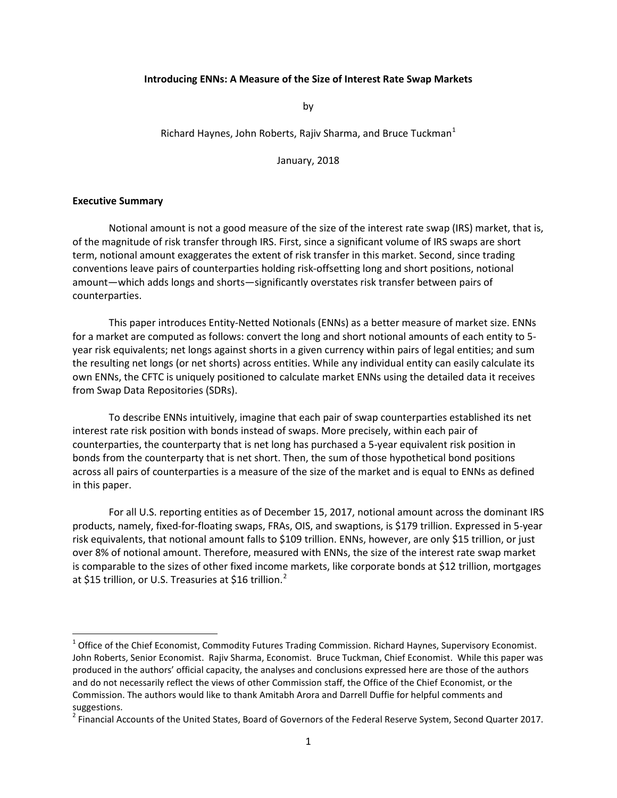#### <span id="page-0-2"></span> **Introducing ENNs: A Measure of the Size of Interest Rate Swap Markets**

by

### Richard Haynes, John Roberts, Rajiv Sharma, and Bruce Tuckman $<sup>1</sup>$  $<sup>1</sup>$  $<sup>1</sup>$ </sup>

January, 2018

#### **Executive Summary**

**.** 

 Notional amount is not a good measure of the size of the interest rate swap (IRS) market, that is, of the magnitude of risk transfer through IRS. First, since a significant volume of IRS swaps are short term, notional amount exaggerates the extent of risk transfer in this market. Second, since trading conventions leave pairs of counterparties holding risk-offsetting long and short positions, notional amount—which adds longs and shorts—significantly overstates risk transfer between pairs of counterparties.

 This paper introduces Entity-Netted Notionals (ENNs) as a better measure of market size. ENNs for a market are computed as follows: convert the long and short notional amounts of each entity to 5- year risk equivalents; net longs against shorts in a given currency within pairs of legal entities; and sum the resulting net longs (or net shorts) across entities. While any individual entity can easily calculate its own ENNs, the CFTC is uniquely positioned to calculate market ENNs using the detailed data it receives from Swap Data Repositories (SDRs).

 To describe ENNs intuitively, imagine that each pair of swap counterparties established its net across all pairs of counterparties is a measure of the size of the market and is equal to ENNs as defined interest rate risk position with bonds instead of swaps. More precisely, within each pair of counterparties, the counterparty that is net long has purchased a 5-year equivalent risk position in bonds from the counterparty that is net short. Then, the sum of those hypothetical bond positions in this paper.

 For all U.S. reporting entities as of December 15, 2017, notional amount across the dominant IRS products, namely, fixed-for-floating swaps, FRAs, OIS, and swaptions, is \$179 trillion. Expressed in 5-year risk equivalents, that notional amount falls to \$109 trillion. ENNs, however, are only \$15 trillion, or just is comparable to the sizes of other fixed income markets, like corporate bonds at \$12 trillion, mortgages over 8% of notional amount. Therefore, measured with ENNs, the size of the interest rate swap market at \$15 trillion, or U.S. Treasuries at \$16 trillion.<sup>2</sup>

<span id="page-0-0"></span> $^1$  Office of the Chief Economist, Commodity Futures Trading Commission. Richard Haynes, Supervisory Economist. John Roberts, Senior Economist. Rajiv Sharma, Economist. Bruce Tuckman, Chief Economist. While this paper was produced in the authors' official capacity, the analyses and conclusions expressed here are those of the authors and do not necessarily reflect the views of other Commission staff, the Office of the Chief Economist, or the Commission. The authors would like to thank Amitabh Arora and Darrell Duffie for helpful comments and suggestions.

<span id="page-0-1"></span><sup>&</sup>lt;sup>2</sup> Financial Accounts of the United States, Board of Governors of the Federal Reserve System, Second Quarter 2017.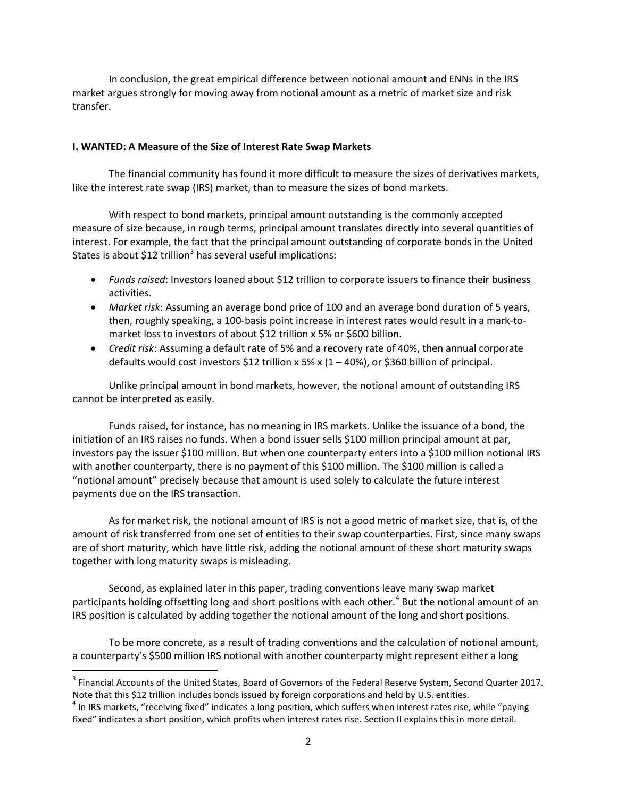<span id="page-1-2"></span> In conclusion, the great empirical difference between notional amount and ENNs in the IRS market argues strongly for moving away from notional amount as a metric of market size and risk transfer.

### **I. WANTED: A Measure of the Size of Interest Rate Swap Markets**

 The financial community has found it more difficult to measure the sizes of derivatives markets, like the interest rate swap (IRS) market, than to measure the sizes of bond markets.

 With respect to bond markets, principal amount outstanding is the commonly accepted interest. For example, the fact that the principal amount outstanding of corporate bonds in the United States is about \$12 trillion<sup>3</sup> has several useful implications: measure of size because, in rough terms, principal amount translates directly into several quantities of

- • *Funds raised*: Investors loaned about \$12 trillion to corporate issuers to finance their business activities.
- • *Market risk*: Assuming an average bond price of 100 and an average bond duration of 5 years, market loss to investors of about \$12 trillion x 5% or \$600 billion. then, roughly speaking, a 100-basis point increase in interest rates would result in a mark-to-
- • *Credit risk*: Assuming a default rate of 5% and a recovery rate of 40%, then annual corporate defaults would cost investors \$12 trillion x 5% x (1 – 40%), or \$360 billion of principal.

 Unlike principal amount in bond markets, however, the notional amount of outstanding IRS cannot be interpreted as easily.

 Funds raised, for instance, has no meaning in IRS markets. Unlike the issuance of a bond, the with another counterparty, there is no payment of this \$100 million. The \$100 million is called a payments due on the IRS transaction. initiation of an IRS raises no funds. When a bond issuer sells \$100 million principal amount at par, investors pay the issuer \$100 million. But when one counterparty enters into a \$100 million notional IRS "notional amount" precisely because that amount is used solely to calculate the future interest

 As for market risk, the notional amount of IRS is not a good metric of market size, that is, of the amount of risk transferred from one set of entities to their swap counterparties. First, since many swaps together with long maturity swaps is misleading. are of short maturity, which have little risk, adding the notional amount of these short maturity swaps

participants holding offsetting long and short positions with each other.<sup>[4](#page-1-1)</sup> But the notional amount of an IRS position is calculated by adding together the notional amount of the long and short positions. Second, as explained later in this paper, trading conventions leave many swap market

 a counterparty's \$500 million IRS notional with another counterparty might represent either a long To be more concrete, as a result of trading conventions and the calculation of notional amount,

**.** 

<span id="page-1-0"></span><sup>&</sup>lt;sup>3</sup> Financial Accounts of the United States, Board of Governors of the Federal Reserve System, Second Quarter 2017. Note that this \$12 trillion includes bonds issued by foreign corporations and held by U.S. entities.

<span id="page-1-1"></span> $4$  In IRS markets, "receiving fixed" indicates a long position, which suffers when interest rates rise, while "paying fixed" indicates a short position, which profits when interest rates rise. Section II explains this in more detail.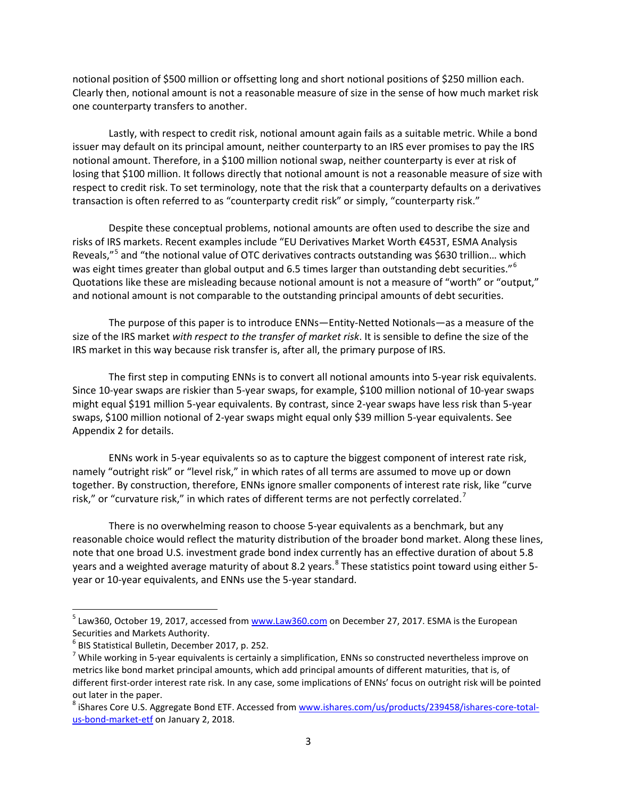<span id="page-2-4"></span> notional position of \$500 million or offsetting long and short notional positions of \$250 million each. Clearly then, notional amount is not a reasonable measure of size in the sense of how much market risk one counterparty transfers to another.

 issuer may default on its principal amount, neither counterparty to an IRS ever promises to pay the IRS notional amount. Therefore, in a \$100 million notional swap, neither counterparty is ever at risk of losing that \$100 million. It follows directly that notional amount is not a reasonable measure of size with transaction is often referred to as "counterparty credit risk" or simply, "counterparty risk." Lastly, with respect to credit risk, notional amount again fails as a suitable metric. While a bond respect to credit risk. To set terminology, note that the risk that a counterparty defaults on a derivatives

 risks of IRS markets. Recent examples include "EU Derivatives Market Worth €453T, ESMA Analysis Quotations like these are misleading because notional amount is not a measure of "worth" or "output," and notional amount is not comparable to the outstanding principal amounts of debt securities. Despite these conceptual problems, notional amounts are often used to describe the size and Reveals,"[5](#page-2-0) and "the notional value of OTC derivatives contracts outstanding was \$630 trillion… which was eight times greater than global output and 6.5 times larger than outstanding debt securities."<sup>6</sup>

 IRS market in this way because risk transfer is, after all, the primary purpose of IRS. The purpose of this paper is to introduce ENNs—Entity-Netted Notionals—as a measure of the size of the IRS market *with respect to the transfer of market risk*. It is sensible to define the size of the

The first step in computing ENNs is to convert all notional amounts into 5-year risk equivalents. Since 10-year swaps are riskier than 5-year swaps, for example, \$100 million notional of 10-year swaps might equal \$191 million 5-year equivalents. By contrast, since 2-year swaps have less risk than 5-year swaps, \$100 million notional of 2-year swaps might equal only \$39 million 5-year equivalents. See Appendix 2 for details.

 namely "outright risk" or "level risk," in which rates of all terms are assumed to move up or down ENNs work in 5-year equivalents so as to capture the biggest component of interest rate risk, together. By construction, therefore, ENNs ignore smaller components of interest rate risk, like "curve risk," or "curvature risk," in which rates of different terms are not perfectly correlated.<sup>7</sup>

 There is no overwhelming reason to choose 5-year equivalents as a benchmark, but any year or 10-year equivalents, and ENNs use the 5-year standard. reasonable choice would reflect the maturity distribution of the broader bond market. Along these lines, note that one broad U.S. investment grade bond index currently has an effective duration of about 5.8 years and a weighted average maturity of about [8](#page-2-3).2 years.<sup>8</sup> These statistics point toward using either 5-

**.** 

<span id="page-2-0"></span><sup>&</sup>lt;sup>5</sup> Law360, October 19, 2017, accessed fro[m www.Law360.com](http://www.law360.com/) on December 27, 2017. ESMA is the European Securities and Markets Authority.

<span id="page-2-1"></span><sup>6</sup> BIS Statistical Bulletin, December 2017, p. 252.

<span id="page-2-2"></span> $^7$  While working in 5-year equivalents is certainly a simplification, ENNs so constructed nevertheless improve on metrics like bond market principal amounts, which add principal amounts of different maturities, that is, of different first-order interest rate risk. In any case, some implications of ENNs' focus on outright risk will be pointed out later in the paper.

<span id="page-2-3"></span>[us-bond-market-etf](http://www.ishares.com/us/products/239458/ishares-core-total-us-bond-market-etf) on January 2, 2018. <sup>8</sup> iShares Core U.S. Aggregate Bond ETF. Accessed fro[m www.ishares.com/us/products/239458/ishares-core-total-](http://www.ishares.com/us/products/239458/ishares-core-total-us-bond-market-etf)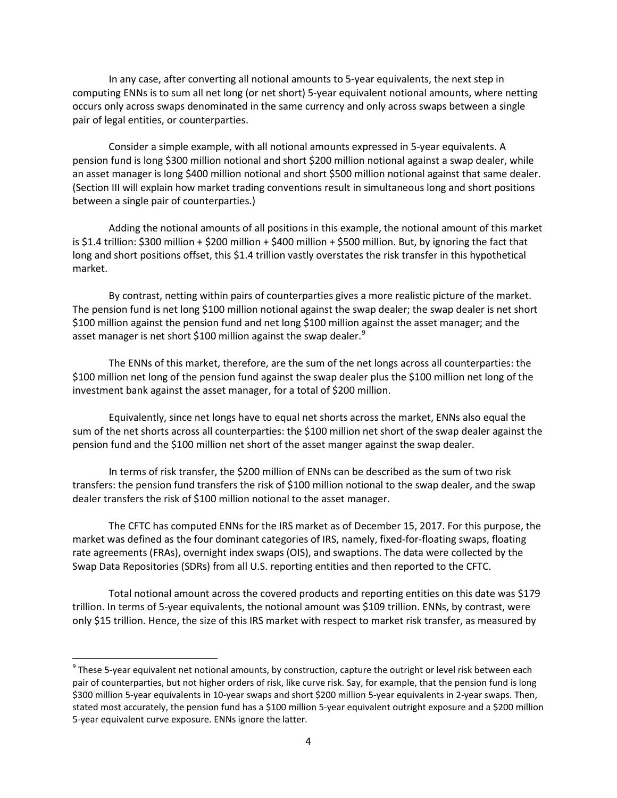<span id="page-3-1"></span>In any case, after converting all notional amounts to 5-year equivalents, the next step in computing ENNs is to sum all net long (or net short) 5-year equivalent notional amounts, where netting occurs only across swaps denominated in the same currency and only across swaps between a single pair of legal entities, or counterparties.

 pension fund is long \$300 million notional and short \$200 million notional against a swap dealer, while (Section III will explain how market trading conventions result in simultaneous long and short positions Consider a simple example, with all notional amounts expressed in 5-year equivalents. A an asset manager is long \$400 million notional and short \$500 million notional against that same dealer. between a single pair of counterparties.)

 Adding the notional amounts of all positions in this example, the notional amount of this market is \$1.4 trillion: \$300 million + \$200 million + \$400 million + \$500 million. But, by ignoring the fact that long and short positions offset, this \$1.4 trillion vastly overstates the risk transfer in this hypothetical market.

 By contrast, netting within pairs of counterparties gives a more realistic picture of the market. The pension fund is net long \$100 million notional against the swap dealer; the swap dealer is net short \$100 million against the pension fund and net long \$100 million against the asset manager; and the asset manager is net short \$100 million against the swap dealer.<sup>9</sup>

 The ENNs of this market, therefore, are the sum of the net longs across all counterparties: the \$100 million net long of the pension fund against the swap dealer plus the \$100 million net long of the investment bank against the asset manager, for a total of \$200 million.

 Equivalently, since net longs have to equal net shorts across the market, ENNs also equal the sum of the net shorts across all counterparties: the \$100 million net short of the swap dealer against the pension fund and the \$100 million net short of the asset manger against the swap dealer.

 In terms of risk transfer, the \$200 million of ENNs can be described as the sum of two risk transfers: the pension fund transfers the risk of \$100 million notional to the swap dealer, and the swap dealer transfers the risk of \$100 million notional to the asset manager.

 The CFTC has computed ENNs for the IRS market as of December 15, 2017. For this purpose, the Swap Data Repositories (SDRs) from all U.S. reporting entities and then reported to the CFTC. market was defined as the four dominant categories of IRS, namely, fixed-for-floating swaps, floating rate agreements (FRAs), overnight index swaps (OIS), and swaptions. The data were collected by the

 Total notional amount across the covered products and reporting entities on this date was \$179 trillion. In terms of 5-year equivalents, the notional amount was \$109 trillion. ENNs, by contrast, were only \$15 trillion. Hence, the size of this IRS market with respect to market risk transfer, as measured by

**.** 

<span id="page-3-0"></span> \$300 million 5-year equivalents in 10-year swaps and short \$200 million 5-year equivalents in 2-year swaps. Then,  $9$  These 5-year equivalent net notional amounts, by construction, capture the outright or level risk between each pair of counterparties, but not higher orders of risk, like curve risk. Say, for example, that the pension fund is long stated most accurately, the pension fund has a \$100 million 5-year equivalent outright exposure and a \$200 million 5-year equivalent curve exposure. ENNs ignore the latter.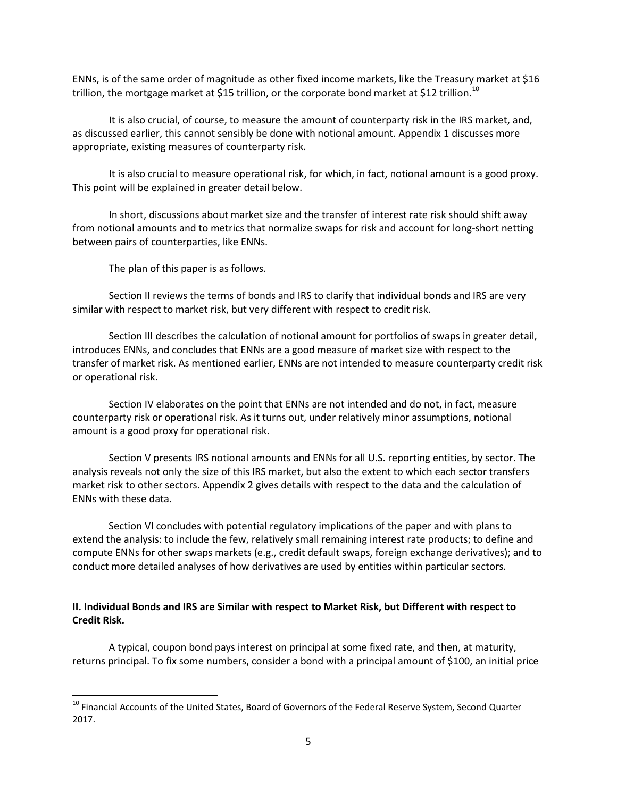ENNs, is of the same order of magnitude as other fixed income markets, like the Treasury market at \$16 trillion, the mortgage market at \$15 trillion, or the corporate bond market at \$12 trillion. $^{10}$ 

 It is also crucial, of course, to measure the amount of counterparty risk in the IRS market, and, as discussed earlier, this cannot sensibly be done with notional amount. Appendix 1 discusses more appropriate, existing measures of counterparty risk.

It is also crucial to measure operational risk, for which, in fact, notional amount is a good proxy. This point will be explained in greater detail below.

 between pairs of counterparties, like ENNs. In short, discussions about market size and the transfer of interest rate risk should shift away from notional amounts and to metrics that normalize swaps for risk and account for long-short netting

The plan of this paper is as follows.

 $\overline{\phantom{a}}$ 

 Section II reviews the terms of bonds and IRS to clarify that individual bonds and IRS are very similar with respect to market risk, but very different with respect to credit risk.

 introduces ENNs, and concludes that ENNs are a good measure of market size with respect to the transfer of market risk. As mentioned earlier, ENNs are not intended to measure counterparty credit risk Section III describes the calculation of notional amount for portfolios of swaps in greater detail, or operational risk.

Section IV elaborates on the point that ENNs are not intended and do not, in fact, measure counterparty risk or operational risk. As it turns out, under relatively minor assumptions, notional amount is a good proxy for operational risk.

 analysis reveals not only the size of this IRS market, but also the extent to which each sector transfers Section V presents IRS notional amounts and ENNs for all U.S. reporting entities, by sector. The market risk to other sectors. Appendix 2 gives details with respect to the data and the calculation of ENNs with these data.

 compute ENNs for other swaps markets (e.g., credit default swaps, foreign exchange derivatives); and to conduct more detailed analyses of how derivatives are used by entities within particular sectors. Section VI concludes with potential regulatory implications of the paper and with plans to extend the analysis: to include the few, relatively small remaining interest rate products; to define and

# **II. Individual Bonds and IRS are Similar with respect to Market Risk, but Different with respect to Credit Risk.**

 A typical, coupon bond pays interest on principal at some fixed rate, and then, at maturity, returns principal. To fix some numbers, consider a bond with a principal amount of \$100, an initial price

<span id="page-4-0"></span><sup>&</sup>lt;sup>10</sup> Financial Accounts of the United States, Board of Governors of the Federal Reserve System, Second Quarter 2017.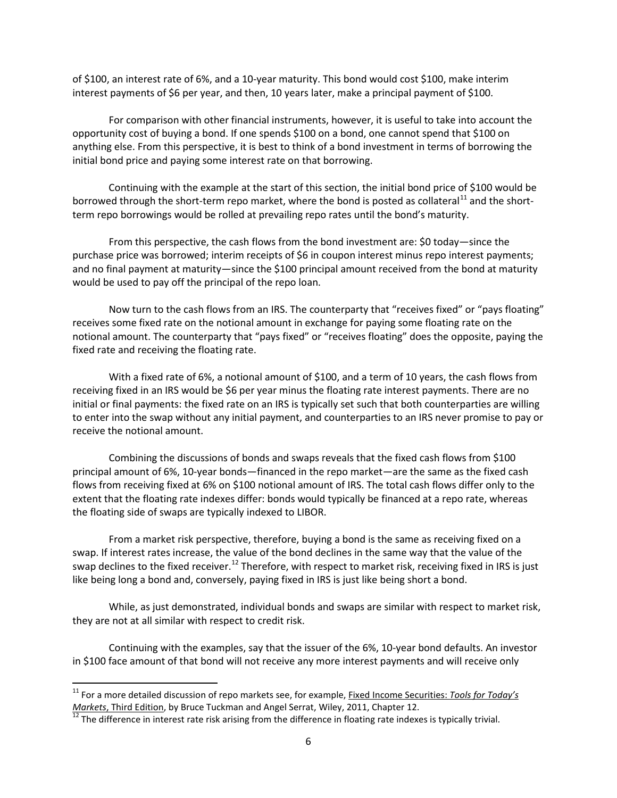of \$100, an interest rate of 6%, and a 10-year maturity. This bond would cost \$100, make interim interest payments of \$6 per year, and then, 10 years later, make a principal payment of \$100.

 For comparison with other financial instruments, however, it is useful to take into account the opportunity cost of buying a bond. If one spends \$100 on a bond, one cannot spend that \$100 on anything else. From this perspective, it is best to think of a bond investment in terms of borrowing the initial bond price and paying some interest rate on that borrowing.

borrowed through the short-term repo market, where the bond is posted as collateral<sup>11</sup> and the short-Continuing with the example at the start of this section, the initial bond price of \$100 would be term repo borrowings would be rolled at prevailing repo rates until the bond's maturity.

 purchase price was borrowed; interim receipts of \$6 in coupon interest minus repo interest payments; From this perspective, the cash flows from the bond investment are: \$0 today—since the and no final payment at maturity—since the \$100 principal amount received from the bond at maturity would be used to pay off the principal of the repo loan.

 Now turn to the cash flows from an IRS. The counterparty that "receives fixed" or "pays floating" receives some fixed rate on the notional amount in exchange for paying some floating rate on the notional amount. The counterparty that "pays fixed" or "receives floating" does the opposite, paying the fixed rate and receiving the floating rate.

 With a fixed rate of 6%, a notional amount of \$100, and a term of 10 years, the cash flows from receiving fixed in an IRS would be \$6 per year minus the floating rate interest payments. There are no initial or final payments: the fixed rate on an IRS is typically set such that both counterparties are willing to enter into the swap without any initial payment, and counterparties to an IRS never promise to pay or receive the notional amount.

 flows from receiving fixed at 6% on \$100 notional amount of IRS. The total cash flows differ only to the Combining the discussions of bonds and swaps reveals that the fixed cash flows from \$100 principal amount of 6%, 10-year bonds—financed in the repo market—are the same as the fixed cash extent that the floating rate indexes differ: bonds would typically be financed at a repo rate, whereas the floating side of swaps are typically indexed to LIBOR.

 swap. If interest rates increase, the value of the bond declines in the same way that the value of the swap declines to the fixed receiver.<sup>12</sup> Therefore, with respect to market risk, receiving fixed in IRS is just like being long a bond and, conversely, paying fixed in IRS is just like being short a bond. From a market risk perspective, therefore, buying a bond is the same as receiving fixed on a

 While, as just demonstrated, individual bonds and swaps are similar with respect to market risk, they are not at all similar with respect to credit risk.

 in \$100 face amount of that bond will not receive any more interest payments and will receive only Continuing with the examples, say that the issuer of the 6%, 10-year bond defaults. An investor

 $\overline{a}$ 

<span id="page-5-0"></span><sup>&</sup>lt;sup>11</sup> For a more detailed discussion of repo markets see, for example, <u>Fixed Income Securities: *Tools for Today's*</u> *Markets*, Third Edition, by Bruce Tuckman and Angel Serrat, Wiley, 2011, Chapter 12.<br><sup>12</sup> The difference in interest rate risk arising from the difference in floating rate indexes is typically trivial.

<span id="page-5-1"></span>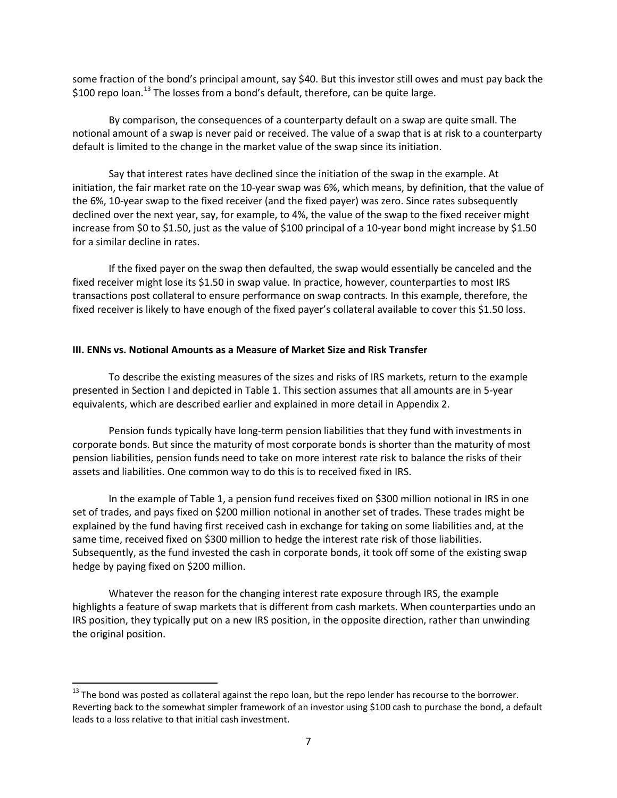some fraction of the bond's principal amount, say \$40. But this investor still owes and must pay back the \$100 repo loan.<sup>13</sup> The losses from a bond's default, therefore, can be quite large.

 By comparison, the consequences of a counterparty default on a swap are quite small. The notional amount of a swap is never paid or received. The value of a swap that is at risk to a counterparty default is limited to the change in the market value of the swap since its initiation.

 initiation, the fair market rate on the 10-year swap was 6%, which means, by definition, that the value of the 6%, 10-year swap to the fixed receiver (and the fixed payer) was zero. Since rates subsequently declined over the next year, say, for example, to 4%, the value of the swap to the fixed receiver might increase from \$0 to \$1.50, just as the value of \$100 principal of a 10-year bond might increase by \$1.50 Say that interest rates have declined since the initiation of the swap in the example. At for a similar decline in rates.

 If the fixed payer on the swap then defaulted, the swap would essentially be canceled and the fixed receiver might lose its \$1.50 in swap value. In practice, however, counterparties to most IRS transactions post collateral to ensure performance on swap contracts. In this example, therefore, the fixed receiver is likely to have enough of the fixed payer's collateral available to cover this \$1.50 loss.

#### **III. ENNs vs. Notional Amounts as a Measure of Market Size and Risk Transfer**

 To describe the existing measures of the sizes and risks of IRS markets, return to the example presented in Section I and depicted in Table 1. This section assumes that all amounts are in 5-year equivalents, which are described earlier and explained in more detail in Appendix 2.

 corporate bonds. But since the maturity of most corporate bonds is shorter than the maturity of most assets and liabilities. One common way to do this is to received fixed in IRS. Pension funds typically have long-term pension liabilities that they fund with investments in pension liabilities, pension funds need to take on more interest rate risk to balance the risks of their

 In the example of Table 1, a pension fund receives fixed on \$300 million notional in IRS in one set of trades, and pays fixed on \$200 million notional in another set of trades. These trades might be explained by the fund having first received cash in exchange for taking on some liabilities and, at the same time, received fixed on \$300 million to hedge the interest rate risk of those liabilities. hedge by paying fixed on \$200 million. Subsequently, as the fund invested the cash in corporate bonds, it took off some of the existing swap

 highlights a feature of swap markets that is different from cash markets. When counterparties undo an IRS position, they typically put on a new IRS position, in the opposite direction, rather than unwinding Whatever the reason for the changing interest rate exposure through IRS, the example the original position.

 $\overline{a}$ 

<span id="page-6-0"></span> $^{13}$  The bond was posted as collateral against the repo loan, but the repo lender has recourse to the borrower. Reverting back to the somewhat simpler framework of an investor using \$100 cash to purchase the bond, a default leads to a loss relative to that initial cash investment.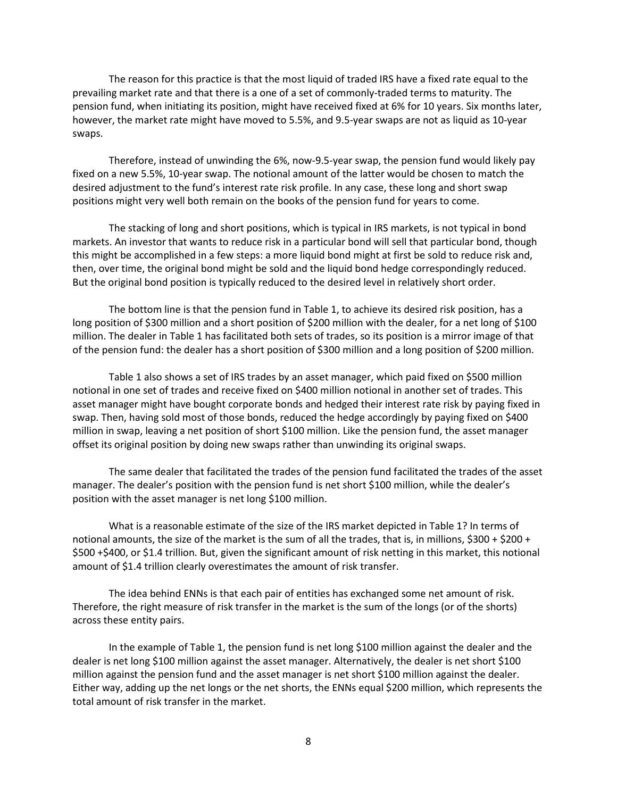The reason for this practice is that the most liquid of traded IRS have a fixed rate equal to the prevailing market rate and that there is a one of a set of commonly-traded terms to maturity. The pension fund, when initiating its position, might have received fixed at 6% for 10 years. Six months later, however, the market rate might have moved to 5.5%, and 9.5-year swaps are not as liquid as 10-year swaps.

 Therefore, instead of unwinding the 6%, now-9.5-year swap, the pension fund would likely pay fixed on a new 5.5%, 10-year swap. The notional amount of the latter would be chosen to match the desired adjustment to the fund's interest rate risk profile. In any case, these long and short swap positions might very well both remain on the books of the pension fund for years to come.

 then, over time, the original bond might be sold and the liquid bond hedge correspondingly reduced. But the original bond position is typically reduced to the desired level in relatively short order. The stacking of long and short positions, which is typical in IRS markets, is not typical in bond markets. An investor that wants to reduce risk in a particular bond will sell that particular bond, though this might be accomplished in a few steps: a more liquid bond might at first be sold to reduce risk and,

 long position of \$300 million and a short position of \$200 million with the dealer, for a net long of \$100 million. The dealer in Table 1 has facilitated both sets of trades, so its position is a mirror image of that of the pension fund: the dealer has a short position of \$300 million and a long position of \$200 million. The bottom line is that the pension fund in Table 1, to achieve its desired risk position, has a

 Table 1 also shows a set of IRS trades by an asset manager, which paid fixed on \$500 million notional in one set of trades and receive fixed on \$400 million notional in another set of trades. This swap. Then, having sold most of those bonds, reduced the hedge accordingly by paying fixed on \$400 asset manager might have bought corporate bonds and hedged their interest rate risk by paying fixed in million in swap, leaving a net position of short \$100 million. Like the pension fund, the asset manager offset its original position by doing new swaps rather than unwinding its original swaps.

 manager. The dealer's position with the pension fund is net short \$100 million, while the dealer's position with the asset manager is net long \$100 million. The same dealer that facilitated the trades of the pension fund facilitated the trades of the asset

 What is a reasonable estimate of the size of the IRS market depicted in Table 1? In terms of notional amounts, the size of the market is the sum of all the trades, that is, in millions, \$300 + \$200 + amount of \$1.4 trillion clearly overestimates the amount of risk transfer. \$500 +\$400, or \$1.4 trillion. But, given the significant amount of risk netting in this market, this notional

 Therefore, the right measure of risk transfer in the market is the sum of the longs (or of the shorts) The idea behind ENNs is that each pair of entities has exchanged some net amount of risk. across these entity pairs.

 dealer is net long \$100 million against the asset manager. Alternatively, the dealer is net short \$100 million against the pension fund and the asset manager is net short \$100 million against the dealer. In the example of Table 1, the pension fund is net long \$100 million against the dealer and the Either way, adding up the net longs or the net shorts, the ENNs equal \$200 million, which represents the total amount of risk transfer in the market.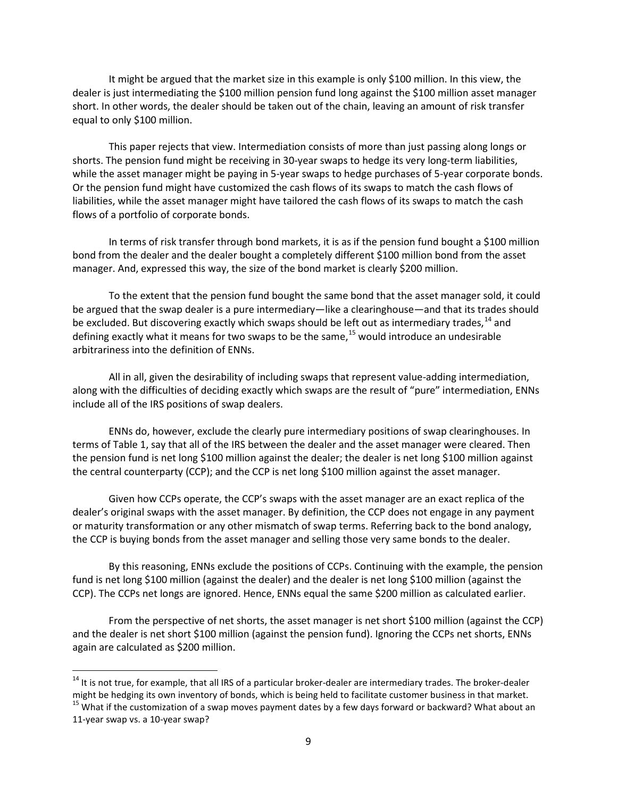It might be argued that the market size in this example is only \$100 million. In this view, the short. In other words, the dealer should be taken out of the chain, leaving an amount of risk transfer equal to only \$100 million. dealer is just intermediating the \$100 million pension fund long against the \$100 million asset manager

 This paper rejects that view. Intermediation consists of more than just passing along longs or while the asset manager might be paying in 5-year swaps to hedge purchases of 5-year corporate bonds. Or the pension fund might have customized the cash flows of its swaps to match the cash flows of liabilities, while the asset manager might have tailored the cash flows of its swaps to match the cash shorts. The pension fund might be receiving in 30-year swaps to hedge its very long-term liabilities, flows of a portfolio of corporate bonds.

 In terms of risk transfer through bond markets, it is as if the pension fund bought a \$100 million bond from the dealer and the dealer bought a completely different \$100 million bond from the asset manager. And, expressed this way, the size of the bond market is clearly \$200 million.

 To the extent that the pension fund bought the same bond that the asset manager sold, it could be argued that the swap dealer is a pure intermediary—like a clearinghouse—and that its trades should defining exactly what it means for two swaps to be the same,<sup>[15](#page-8-1)</sup> would introduce an undesirable be excluded. But discovering exactly which swaps should be left out as intermediary trades,<sup>14</sup> and arbitrariness into the definition of ENNs.

 include all of the IRS positions of swap dealers. All in all, given the desirability of including swaps that represent value-adding intermediation, along with the difficulties of deciding exactly which swaps are the result of "pure" intermediation, ENNs

 ENNs do, however, exclude the clearly pure intermediary positions of swap clearinghouses. In the pension fund is net long \$100 million against the dealer; the dealer is net long \$100 million against the central counterparty (CCP); and the CCP is net long \$100 million against the asset manager. terms of Table 1, say that all of the IRS between the dealer and the asset manager were cleared. Then

 dealer's original swaps with the asset manager. By definition, the CCP does not engage in any payment or maturity transformation or any other mismatch of swap terms. Referring back to the bond analogy, Given how CCPs operate, the CCP's swaps with the asset manager are an exact replica of the the CCP is buying bonds from the asset manager and selling those very same bonds to the dealer.

 By this reasoning, ENNs exclude the positions of CCPs. Continuing with the example, the pension fund is net long \$100 million (against the dealer) and the dealer is net long \$100 million (against the CCP). The CCPs net longs are ignored. Hence, ENNs equal the same \$200 million as calculated earlier.

 From the perspective of net shorts, the asset manager is net short \$100 million (against the CCP) and the dealer is net short \$100 million (against the pension fund). Ignoring the CCPs net shorts, ENNs again are calculated as \$200 million.

 $\overline{\phantom{a}}$ 

<span id="page-8-0"></span> $14$  It is not true, for example, that all IRS of a particular broker-dealer are intermediary trades. The broker-dealer might be hedging its own inventory of bonds, which is being held to facilitate customer business in that market.

<span id="page-8-1"></span><sup>&</sup>lt;sup>15</sup> What if the customization of a swap moves payment dates by a few days forward or backward? What about an 11-year swap vs. a 10-year swap?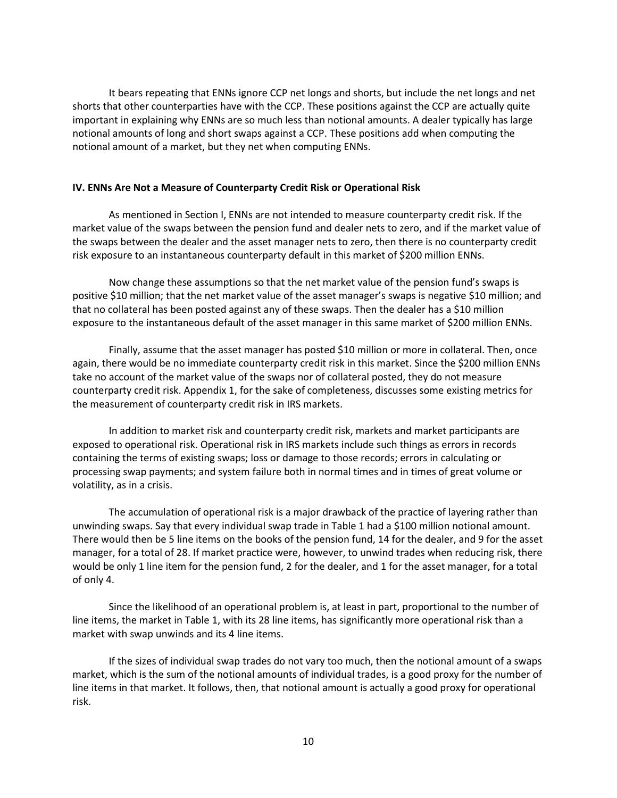notional amount of a market, but they net when computing ENNs. It bears repeating that ENNs ignore CCP net longs and shorts, but include the net longs and net shorts that other counterparties have with the CCP. These positions against the CCP are actually quite important in explaining why ENNs are so much less than notional amounts. A dealer typically has large notional amounts of long and short swaps against a CCP. These positions add when computing the

## **IV. ENNs Are Not a Measure of Counterparty Credit Risk or Operational Risk**

 market value of the swaps between the pension fund and dealer nets to zero, and if the market value of the swaps between the dealer and the asset manager nets to zero, then there is no counterparty credit risk exposure to an instantaneous counterparty default in this market of \$200 million ENNs. As mentioned in Section I, ENNs are not intended to measure counterparty credit risk. If the

 positive \$10 million; that the net market value of the asset manager's swaps is negative \$10 million; and that no collateral has been posted against any of these swaps. Then the dealer has a \$10 million exposure to the instantaneous default of the asset manager in this same market of \$200 million ENNs. Now change these assumptions so that the net market value of the pension fund's swaps is

 again, there would be no immediate counterparty credit risk in this market. Since the \$200 million ENNs counterparty credit risk. Appendix 1, for the sake of completeness, discusses some existing metrics for Finally, assume that the asset manager has posted \$10 million or more in collateral. Then, once take no account of the market value of the swaps nor of collateral posted, they do not measure the measurement of counterparty credit risk in IRS markets.

 processing swap payments; and system failure both in normal times and in times of great volume or In addition to market risk and counterparty credit risk, markets and market participants are exposed to operational risk. Operational risk in IRS markets include such things as errors in records containing the terms of existing swaps; loss or damage to those records; errors in calculating or volatility, as in a crisis.

 unwinding swaps. Say that every individual swap trade in Table 1 had a \$100 million notional amount. There would then be 5 line items on the books of the pension fund, 14 for the dealer, and 9 for the asset The accumulation of operational risk is a major drawback of the practice of layering rather than manager, for a total of 28. If market practice were, however, to unwind trades when reducing risk, there would be only 1 line item for the pension fund, 2 for the dealer, and 1 for the asset manager, for a total of only 4.

 Since the likelihood of an operational problem is, at least in part, proportional to the number of line items, the market in Table 1, with its 28 line items, has significantly more operational risk than a market with swap unwinds and its 4 line items.

 If the sizes of individual swap trades do not vary too much, then the notional amount of a swaps market, which is the sum of the notional amounts of individual trades, is a good proxy for the number of risk. line items in that market. It follows, then, that notional amount is actually a good proxy for operational risk.<br>10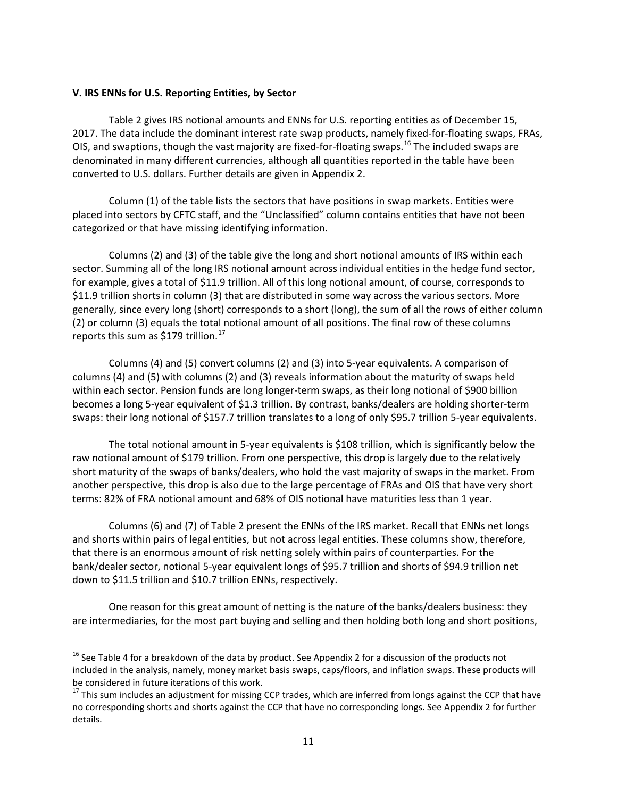### **V. IRS ENNs for U.S. Reporting Entities, by Sector**

**.** 

 Table 2 gives IRS notional amounts and ENNs for U.S. reporting entities as of December 15, OIS, and swaptions, though the vast majority are fixed-for-floating swaps.<sup>16</sup> The included swaps are denominated in many different currencies, although all quantities reported in the table have been 2017. The data include the dominant interest rate swap products, namely fixed-for-floating swaps, FRAs, converted to U.S. dollars. Further details are given in Appendix 2.

 Column (1) of the table lists the sectors that have positions in swap markets. Entities were placed into sectors by CFTC staff, and the "Unclassified" column contains entities that have not been categorized or that have missing identifying information.

 Columns (2) and (3) of the table give the long and short notional amounts of IRS within each sector. Summing all of the long IRS notional amount across individual entities in the hedge fund sector, for example, gives a total of \$11.9 trillion. All of this long notional amount, of course, corresponds to \$11.9 trillion shorts in column (3) that are distributed in some way across the various sectors. More generally, since every long (short) corresponds to a short (long), the sum of all the rows of either column (2) or column (3) equals the total notional amount of all positions. The final row of these columns reports this sum as  $$179$  trillion.<sup>17</sup>

 columns (4) and (5) with columns (2) and (3) reveals information about the maturity of swaps held within each sector. Pension funds are long longer-term swaps, as their long notional of \$900 billion swaps: their long notional of \$157.7 trillion translates to a long of only \$95.7 trillion 5-year equivalents. Columns (4) and (5) convert columns (2) and (3) into 5-year equivalents. A comparison of becomes a long 5-year equivalent of \$1.3 trillion. By contrast, banks/dealers are holding shorter-term

 short maturity of the swaps of banks/dealers, who hold the vast majority of swaps in the market. From terms: 82% of FRA notional amount and 68% of OIS notional have maturities less than 1 year. The total notional amount in 5-year equivalents is \$108 trillion, which is significantly below the raw notional amount of \$179 trillion. From one perspective, this drop is largely due to the relatively another perspective, this drop is also due to the large percentage of FRAs and OIS that have very short

 and shorts within pairs of legal entities, but not across legal entities. These columns show, therefore, that there is an enormous amount of risk netting solely within pairs of counterparties. For the bank/dealer sector, notional 5-year equivalent longs of \$95.7 trillion and shorts of \$94.9 trillion net down to \$11.5 trillion and \$10.7 trillion ENNs, respectively. Columns (6) and (7) of Table 2 present the ENNs of the IRS market. Recall that ENNs net longs

One reason for this great amount of netting is the nature of the banks/dealers business: they are intermediaries, for the most part buying and selling and then holding both long and short positions,

<span id="page-10-0"></span><sup>&</sup>lt;sup>16</sup> See Table 4 for a breakdown of the data by product. See Appendix 2 for a discussion of the products not included in the analysis, namely, money market basis swaps, caps/floors, and inflation swaps. These products will be considered in future iterations of this work.

<span id="page-10-1"></span> $17$  This sum includes an adjustment for missing CCP trades, which are inferred from longs against the CCP that have no corresponding shorts and shorts against the CCP that have no corresponding longs. See Appendix 2 for further details.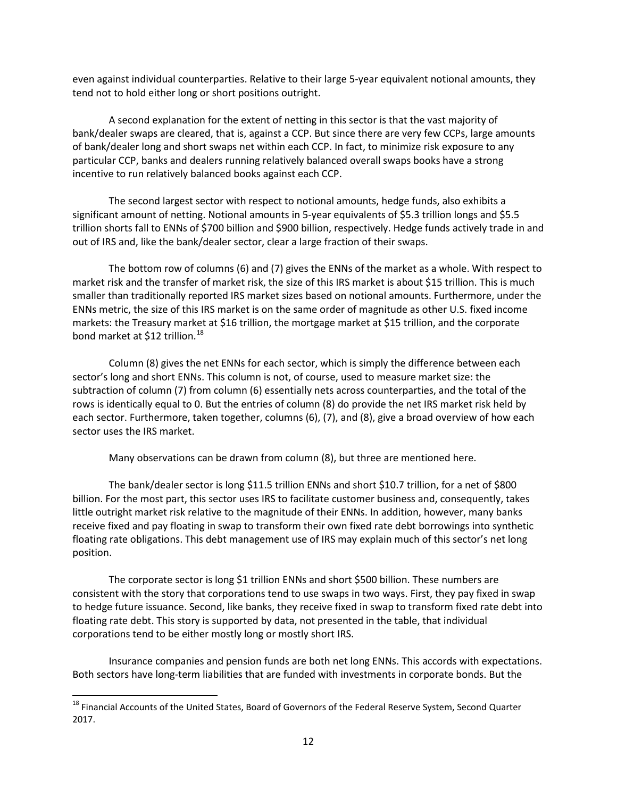even against individual counterparties. Relative to their large 5-year equivalent notional amounts, they tend not to hold either long or short positions outright.

 A second explanation for the extent of netting in this sector is that the vast majority of bank/dealer swaps are cleared, that is, against a CCP. But since there are very few CCPs, large amounts of bank/dealer long and short swaps net within each CCP. In fact, to minimize risk exposure to any particular CCP, banks and dealers running relatively balanced overall swaps books have a strong incentive to run relatively balanced books against each CCP.

The second largest sector with respect to notional amounts, hedge funds, also exhibits a significant amount of netting. Notional amounts in 5-year equivalents of \$5.3 trillion longs and \$5.5 trillion shorts fall to ENNs of \$700 billion and \$900 billion, respectively. Hedge funds actively trade in and out of IRS and, like the bank/dealer sector, clear a large fraction of their swaps.

 The bottom row of columns (6) and (7) gives the ENNs of the market as a whole. With respect to market risk and the transfer of market risk, the size of this IRS market is about \$15 trillion. This is much smaller than traditionally reported IRS market sizes based on notional amounts. Furthermore, under the ENNs metric, the size of this IRS market is on the same order of magnitude as other U.S. fixed income markets: the Treasury market at \$16 trillion, the mortgage market at \$15 trillion, and the corporate bond market at \$12 trillion.<sup>[18](#page-11-0)</sup>

 Column (8) gives the net ENNs for each sector, which is simply the difference between each subtraction of column (7) from column (6) essentially nets across counterparties, and the total of the rows is identically equal to 0. But the entries of column (8) do provide the net IRS market risk held by each sector. Furthermore, taken together, columns (6), (7), and (8), give a broad overview of how each sector's long and short ENNs. This column is not, of course, used to measure market size: the sector uses the IRS market.

Many observations can be drawn from column (8), but three are mentioned here.

 The bank/dealer sector is long \$11.5 trillion ENNs and short \$10.7 trillion, for a net of \$800 little outright market risk relative to the magnitude of their ENNs. In addition, however, many banks floating rate obligations. This debt management use of IRS may explain much of this sector's net long billion. For the most part, this sector uses IRS to facilitate customer business and, consequently, takes receive fixed and pay floating in swap to transform their own fixed rate debt borrowings into synthetic position.

 to hedge future issuance. Second, like banks, they receive fixed in swap to transform fixed rate debt into floating rate debt. This story is supported by data, not presented in the table, that individual The corporate sector is long \$1 trillion ENNs and short \$500 billion. These numbers are consistent with the story that corporations tend to use swaps in two ways. First, they pay fixed in swap corporations tend to be either mostly long or mostly short IRS.

Insurance companies and pension funds are both net long ENNs. This accords with expectations. Both sectors have long-term liabilities that are funded with investments in corporate bonds. But the

 $\overline{\phantom{a}}$ 

<span id="page-11-0"></span><sup>&</sup>lt;sup>18</sup> Financial Accounts of the United States, Board of Governors of the Federal Reserve System, Second Quarter 2017.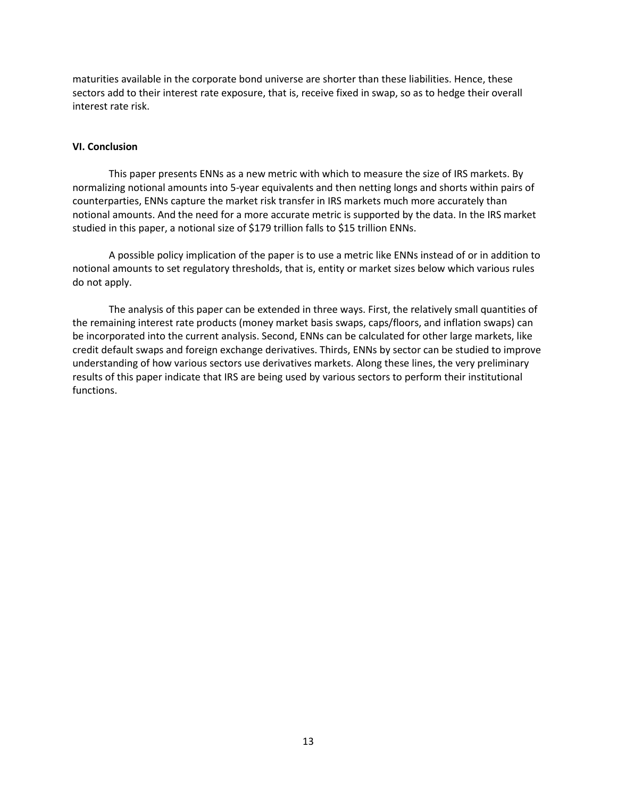maturities available in the corporate bond universe are shorter than these liabilities. Hence, these sectors add to their interest rate exposure, that is, receive fixed in swap, so as to hedge their overall interest rate risk.

### **VI. Conclusion**

 normalizing notional amounts into 5-year equivalents and then netting longs and shorts within pairs of This paper presents ENNs as a new metric with which to measure the size of IRS markets. By counterparties, ENNs capture the market risk transfer in IRS markets much more accurately than notional amounts. And the need for a more accurate metric is supported by the data. In the IRS market studied in this paper, a notional size of \$179 trillion falls to \$15 trillion ENNs.

A possible policy implication of the paper is to use a metric like ENNs instead of or in addition to notional amounts to set regulatory thresholds, that is, entity or market sizes below which various rules do not apply.

 The analysis of this paper can be extended in three ways. First, the relatively small quantities of be incorporated into the current analysis. Second, ENNs can be calculated for other large markets, like understanding of how various sectors use derivatives markets. Along these lines, the very preliminary results of this paper indicate that IRS are being used by various sectors to perform their institutional functions. the remaining interest rate products (money market basis swaps, caps/floors, and inflation swaps) can credit default swaps and foreign exchange derivatives. Thirds, ENNs by sector can be studied to improve functions.<br>
13<br>
13<br>
13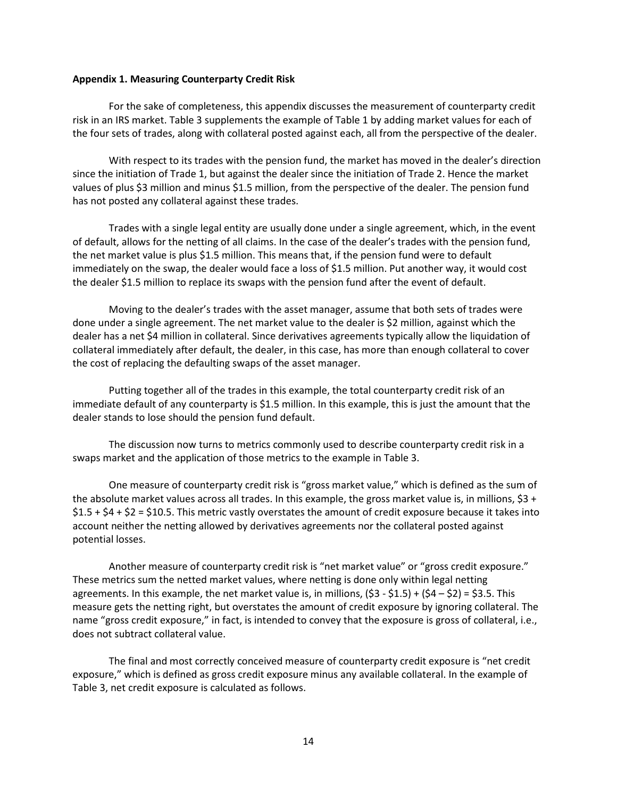#### **Appendix 1. Measuring Counterparty Credit Risk**

 For the sake of completeness, this appendix discusses the measurement of counterparty credit risk in an IRS market. Table 3 supplements the example of Table 1 by adding market values for each of the four sets of trades, along with collateral posted against each, all from the perspective of the dealer.

 With respect to its trades with the pension fund, the market has moved in the dealer's direction values of plus \$3 million and minus \$1.5 million, from the perspective of the dealer. The pension fund since the initiation of Trade 1, but against the dealer since the initiation of Trade 2. Hence the market has not posted any collateral against these trades.

 of default, allows for the netting of all claims. In the case of the dealer's trades with the pension fund, the net market value is plus \$1.5 million. This means that, if the pension fund were to default immediately on the swap, the dealer would face a loss of \$1.5 million. Put another way, it would cost Trades with a single legal entity are usually done under a single agreement, which, in the event the dealer \$1.5 million to replace its swaps with the pension fund after the event of default.

 Moving to the dealer's trades with the asset manager, assume that both sets of trades were done under a single agreement. The net market value to the dealer is \$2 million, against which the dealer has a net \$4 million in collateral. Since derivatives agreements typically allow the liquidation of collateral immediately after default, the dealer, in this case, has more than enough collateral to cover the cost of replacing the defaulting swaps of the asset manager.

 Putting together all of the trades in this example, the total counterparty credit risk of an immediate default of any counterparty is \$1.5 million. In this example, this is just the amount that the dealer stands to lose should the pension fund default.

 swaps market and the application of those metrics to the example in Table 3. The discussion now turns to metrics commonly used to describe counterparty credit risk in a

 One measure of counterparty credit risk is "gross market value," which is defined as the sum of the absolute market values across all trades. In this example, the gross market value is, in millions, \$3 + \$1.5 + \$4 + \$2 = \$10.5. This metric vastly overstates the amount of credit exposure because it takes into account neither the netting allowed by derivatives agreements nor the collateral posted against potential losses.

 Another measure of counterparty credit risk is "net market value" or "gross credit exposure." These metrics sum the netted market values, where netting is done only within legal netting agreements. In this example, the net market value is, in millions, (\$3 - \$1.5) + (\$4 – \$2) = \$3.5. This measure gets the netting right, but overstates the amount of credit exposure by ignoring collateral. The name "gross credit exposure," in fact, is intended to convey that the exposure is gross of collateral, i.e., does not subtract collateral value.

 does not subtract collateral value. The final and most correctly conceived measure of counterparty credit exposure is "net credit exposure," which is defined as gross credit exposure minus any available collateral. In the example of Table 3, net credit exposure is calculated as follows.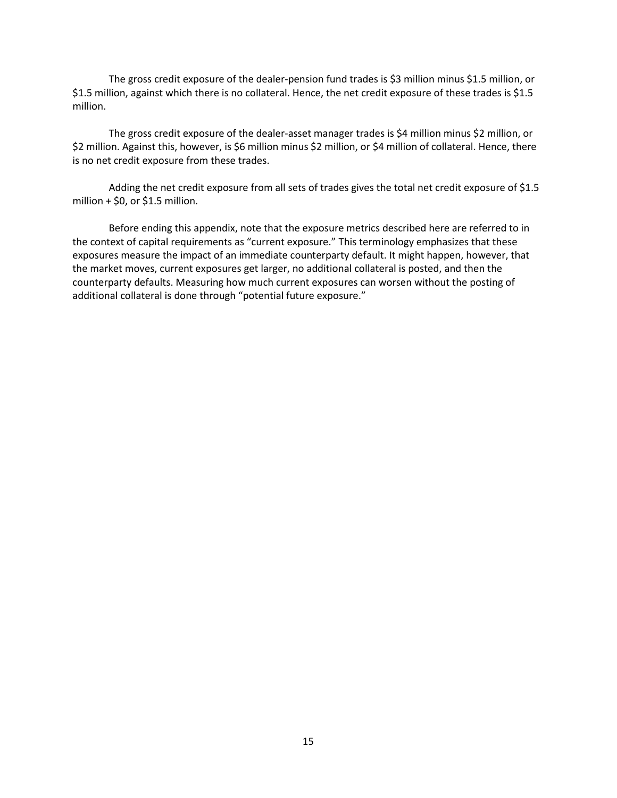The gross credit exposure of the dealer-pension fund trades is \$3 million minus \$1.5 million, or \$1.5 million, against which there is no collateral. Hence, the net credit exposure of these trades is \$1.5 million.

 The gross credit exposure of the dealer-asset manager trades is \$4 million minus \$2 million, or \$2 million. Against this, however, is \$6 million minus \$2 million, or \$4 million of collateral. Hence, there is no net credit exposure from these trades.

Adding the net credit exposure from all sets of trades gives the total net credit exposure of \$1.5 million  $+$  \$0, or \$1.5 million.

 Before ending this appendix, note that the exposure metrics described here are referred to in the market moves, current exposures get larger, no additional collateral is posted, and then the the context of capital requirements as "current exposure." This terminology emphasizes that these exposures measure the impact of an immediate counterparty default. It might happen, however, that counterparty defaults. Measuring how much current exposures can worsen without the posting of additional collateral is done through "potential future exposure."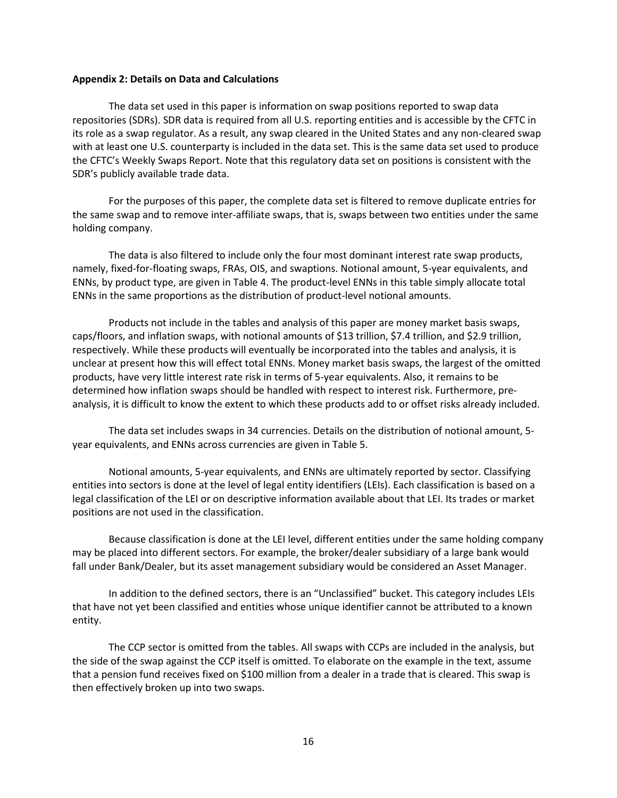#### **Appendix 2: Details on Data and Calculations**

 The data set used in this paper is information on swap positions reported to swap data repositories (SDRs). SDR data is required from all U.S. reporting entities and is accessible by the CFTC in its role as a swap regulator. As a result, any swap cleared in the United States and any non-cleared swap with at least one U.S. counterparty is included in the data set. This is the same data set used to produce the CFTC's Weekly Swaps Report. Note that this regulatory data set on positions is consistent with the SDR's publicly available trade data.

For the purposes of this paper, the complete data set is filtered to remove duplicate entries for the same swap and to remove inter-affiliate swaps, that is, swaps between two entities under the same holding company.

 ENNs, by product type, are given in Table 4. The product-level ENNs in this table simply allocate total The data is also filtered to include only the four most dominant interest rate swap products, namely, fixed-for-floating swaps, FRAs, OIS, and swaptions. Notional amount, 5-year equivalents, and ENNs in the same proportions as the distribution of product-level notional amounts.

 Products not include in the tables and analysis of this paper are money market basis swaps, unclear at present how this will effect total ENNs. Money market basis swaps, the largest of the omitted products, have very little interest rate risk in terms of 5-year equivalents. Also, it remains to be analysis, it is difficult to know the extent to which these products add to or offset risks already included. caps/floors, and inflation swaps, with notional amounts of \$13 trillion, \$7.4 trillion, and \$2.9 trillion, respectively. While these products will eventually be incorporated into the tables and analysis, it is determined how inflation swaps should be handled with respect to interest risk. Furthermore, pre-

 The data set includes swaps in 34 currencies. Details on the distribution of notional amount, 5 year equivalents, and ENNs across currencies are given in Table 5.

 entities into sectors is done at the level of legal entity identifiers (LEIs). Each classification is based on a legal classification of the LEI or on descriptive information available about that LEI. Its trades or market Notional amounts, 5-year equivalents, and ENNs are ultimately reported by sector. Classifying positions are not used in the classification.

Because classification is done at the LEI level, different entities under the same holding company may be placed into different sectors. For example, the broker/dealer subsidiary of a large bank would fall under Bank/Dealer, but its asset management subsidiary would be considered an Asset Manager.

In addition to the defined sectors, there is an "Unclassified" bucket. This category includes LEIs that have not yet been classified and entities whose unique identifier cannot be attributed to a known entity.

 the side of the swap against the CCP itself is omitted. To elaborate on the example in the text, assume that a pension fund receives fixed on \$100 million from a dealer in a trade that is cleared. This swap is The CCP sector is omitted from the tables. All swaps with CCPs are included in the analysis, but then effectively broken up into two swaps.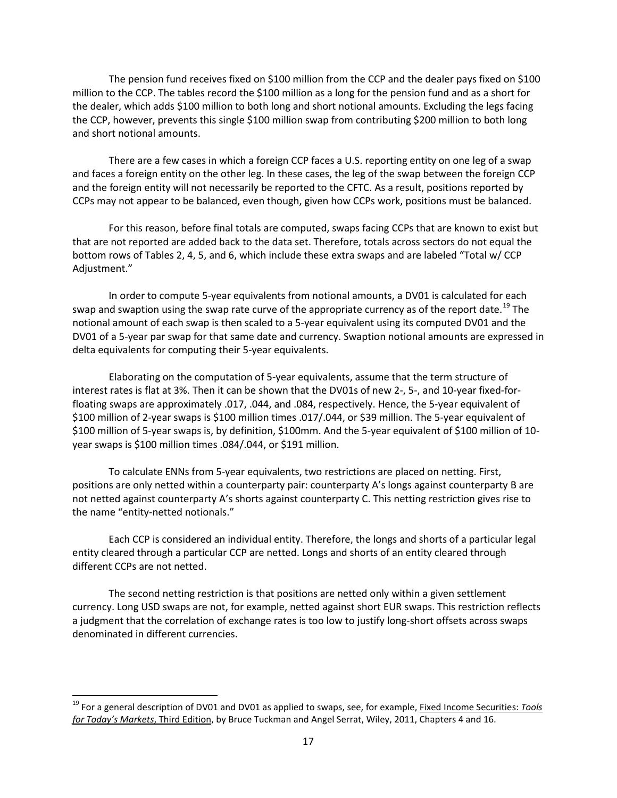The pension fund receives fixed on \$100 million from the CCP and the dealer pays fixed on \$100 million to the CCP. The tables record the \$100 million as a long for the pension fund and as a short for the dealer, which adds \$100 million to both long and short notional amounts. Excluding the legs facing the CCP, however, prevents this single \$100 million swap from contributing \$200 million to both long and short notional amounts.

 There are a few cases in which a foreign CCP faces a U.S. reporting entity on one leg of a swap and faces a foreign entity on the other leg. In these cases, the leg of the swap between the foreign CCP and the foreign entity will not necessarily be reported to the CFTC. As a result, positions reported by CCPs may not appear to be balanced, even though, given how CCPs work, positions must be balanced.

 For this reason, before final totals are computed, swaps facing CCPs that are known to exist but bottom rows of Tables 2, 4, 5, and 6, which include these extra swaps and are labeled "Total w/ CCP that are not reported are added back to the data set. Therefore, totals across sectors do not equal the Adjustment."

 DV01 of a 5-year par swap for that same date and currency. Swaption notional amounts are expressed in In order to compute 5-year equivalents from notional amounts, a DV01 is calculated for each swap and swaption using the swap rate curve of the appropriate currency as of the report date.<sup>[19](#page-16-0)</sup> The notional amount of each swap is then scaled to a 5-year equivalent using its computed DV01 and the delta equivalents for computing their 5-year equivalents.

 Elaborating on the computation of 5-year equivalents, assume that the term structure of interest rates is flat at 3%. Then it can be shown that the DV01s of new 2-, 5-, and 10-year fixed-for- floating swaps are approximately .017, .044, and .084, respectively. Hence, the 5-year equivalent of \$100 million of 2-year swaps is \$100 million times .017/.044, or \$39 million. The 5-year equivalent of year swaps is \$100 million times .084/.044, or \$191 million. \$100 million of 5-year swaps is, by definition, \$100mm. And the 5-year equivalent of \$100 million of 10-

 positions are only netted within a counterparty pair: counterparty A's longs against counterparty B are not netted against counterparty A's shorts against counterparty C. This netting restriction gives rise to To calculate ENNs from 5-year equivalents, two restrictions are placed on netting. First, the name "entity-netted notionals."

 Each CCP is considered an individual entity. Therefore, the longs and shorts of a particular legal entity cleared through a particular CCP are netted. Longs and shorts of an entity cleared through different CCPs are not netted.

 currency. Long USD swaps are not, for example, netted against short EUR swaps. This restriction reflects denominated in different currencies. The second netting restriction is that positions are netted only within a given settlement a judgment that the correlation of exchange rates is too low to justify long-short offsets across swaps

 $\overline{\phantom{a}}$ 

<span id="page-16-0"></span><sup>19</sup> For a general description of DV01 and DV01 as applied to swaps, see, for example, Fixed Income Securities: *Tools for Today's Markets*, Third Edition, by Bruce Tuckman and Angel Serrat, Wiley, 2011, Chapters 4 and 16.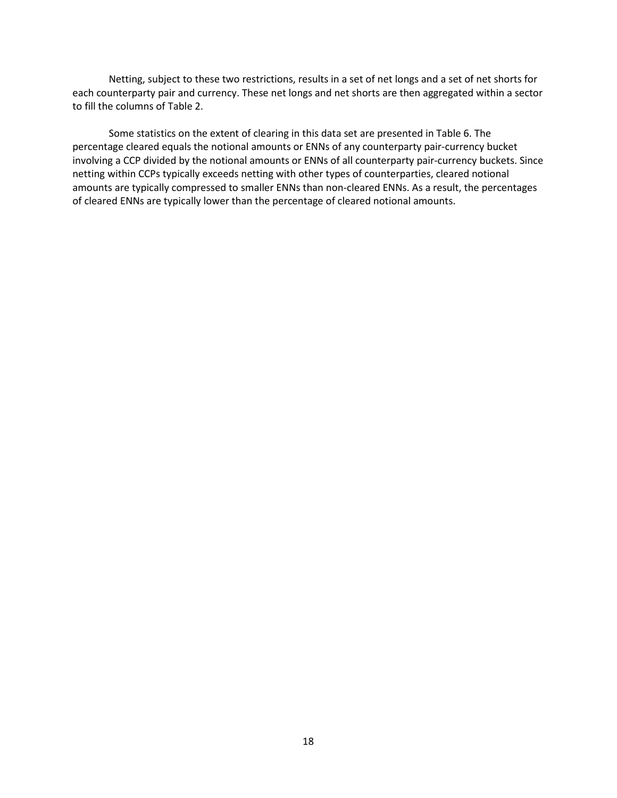Netting, subject to these two restrictions, results in a set of net longs and a set of net shorts for each counterparty pair and currency. These net longs and net shorts are then aggregated within a sector to fill the columns of Table 2.

 of cleared ENNs are typically lower than the percentage of cleared notional amounts. Some statistics on the extent of clearing in this data set are presented in Table 6. The percentage cleared equals the notional amounts or ENNs of any counterparty pair-currency bucket involving a CCP divided by the notional amounts or ENNs of all counterparty pair-currency buckets. Since netting within CCPs typically exceeds netting with other types of counterparties, cleared notional amounts are typically compressed to smaller ENNs than non-cleared ENNs. As a result, the percentages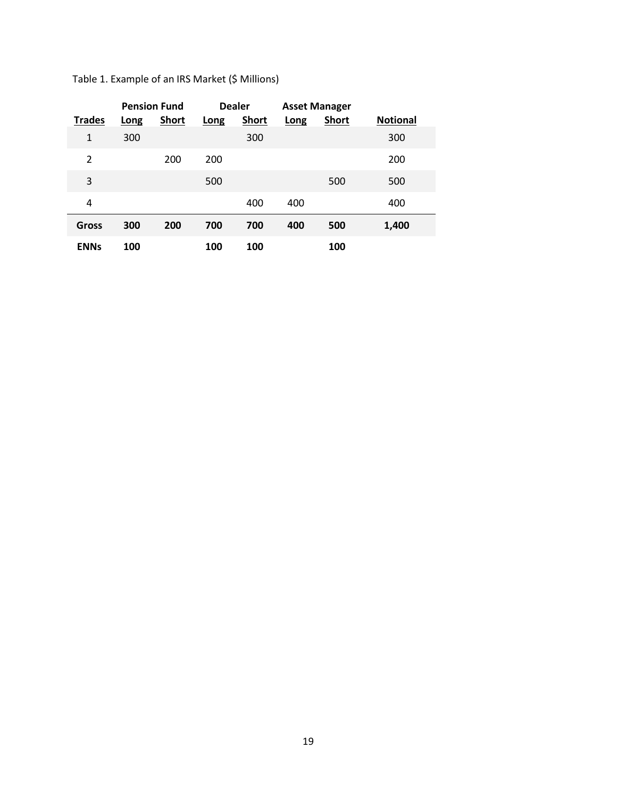|               | <b>Pension Fund</b> |              | <b>Dealer</b> |              |             | <b>Asset Manager</b> |                 |
|---------------|---------------------|--------------|---------------|--------------|-------------|----------------------|-----------------|
| <b>Trades</b> | <b>Long</b>         | <b>Short</b> | Long          | <b>Short</b> | <b>Long</b> | <b>Short</b>         | <b>Notional</b> |
| 1             | 300                 |              |               | 300          |             |                      | 300             |
| 2             |                     | 200          | 200           |              |             |                      | 200             |
| 3             |                     |              | 500           |              |             | 500                  | 500             |
| 4             |                     |              |               | 400          | 400         |                      | 400             |
| Gross         | 300                 | 200          | 700           | 700          | 400         | 500                  | 1,400           |
| <b>ENNs</b>   | 100                 |              | 100           | 100          |             | 100                  |                 |

Table 1. Example of an IRS Market (\$ Millions)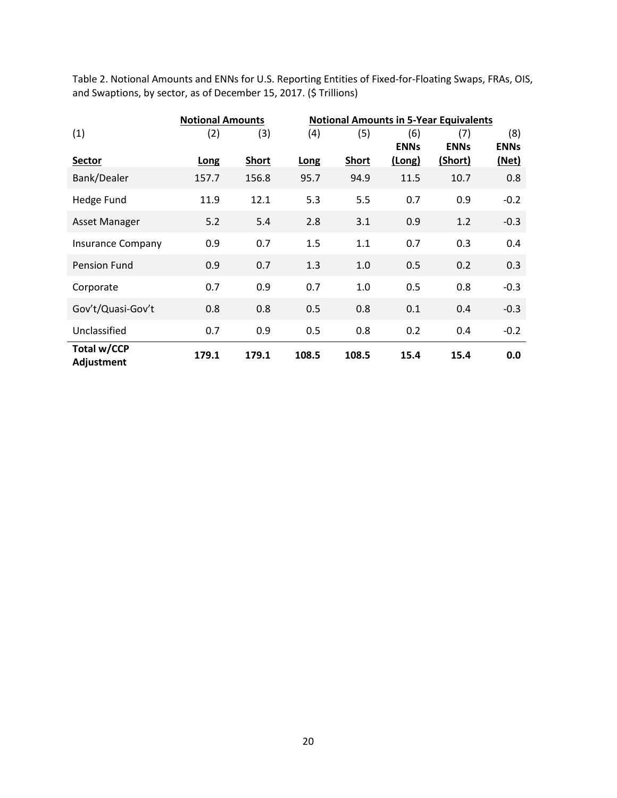|                           | <b>Notional Amounts</b> |              |       | <b>Notional Amounts in 5-Year Equivalents</b> |                    |                    |                    |
|---------------------------|-------------------------|--------------|-------|-----------------------------------------------|--------------------|--------------------|--------------------|
| (1)                       | (2)                     | (3)          | (4)   | (5)                                           | (6)<br><b>ENNs</b> | (7)<br><b>ENNs</b> | (8)<br><b>ENNs</b> |
| Sector                    | Long                    | <b>Short</b> | Long  | <b>Short</b>                                  | (Long)             | (Short)            | <u>(Net)</u>       |
| Bank/Dealer               | 157.7                   | 156.8        | 95.7  | 94.9                                          | 11.5               | 10.7               | 0.8                |
| Hedge Fund                | 11.9                    | 12.1         | 5.3   | 5.5                                           | 0.7                | 0.9                | $-0.2$             |
| Asset Manager             | 5.2                     | 5.4          | 2.8   | 3.1                                           | 0.9                | 1.2                | $-0.3$             |
| <b>Insurance Company</b>  | 0.9                     | 0.7          | 1.5   | 1.1                                           | 0.7                | 0.3                | 0.4                |
| Pension Fund              | 0.9                     | 0.7          | 1.3   | 1.0                                           | 0.5                | 0.2                | 0.3                |
| Corporate                 | 0.7                     | 0.9          | 0.7   | 1.0                                           | 0.5                | 0.8                | $-0.3$             |
| Gov't/Quasi-Gov't         | 0.8                     | 0.8          | 0.5   | 0.8                                           | 0.1                | 0.4                | $-0.3$             |
| Unclassified              | 0.7                     | 0.9          | 0.5   | 0.8                                           | 0.2                | 0.4                | $-0.2$             |
| Total w/CCP<br>Adjustment | 179.1                   | 179.1        | 108.5 | 108.5                                         | 15.4               | 15.4               | 0.0                |

 Table 2. Notional Amounts and ENNs for U.S. Reporting Entities of Fixed-for-Floating Swaps, FRAs, OIS, and Swaptions, by sector, as of December 15, 2017. (\$ Trillions)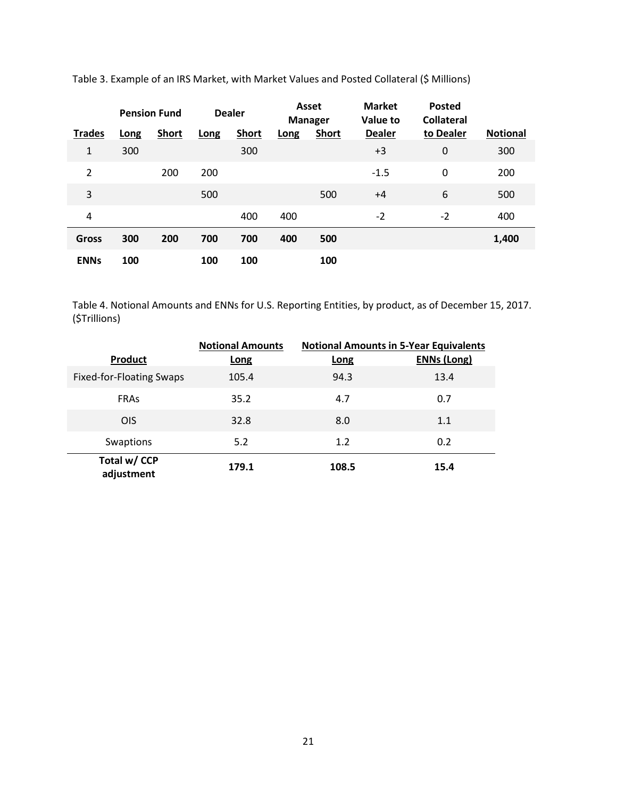|                |      | <b>Pension Fund</b> |      | <b>Dealer</b> |      | Asset<br><b>Manager</b> | <b>Market</b><br><b>Value to</b> | <b>Posted</b><br><b>Collateral</b> |                 |
|----------------|------|---------------------|------|---------------|------|-------------------------|----------------------------------|------------------------------------|-----------------|
| <b>Trades</b>  | Long | <b>Short</b>        | Long | <b>Short</b>  | Long | <b>Short</b>            | <b>Dealer</b>                    | to Dealer                          | <b>Notional</b> |
| 1              | 300  |                     |      | 300           |      |                         | $+3$                             | $\mathbf 0$                        | 300             |
| $\overline{2}$ |      | 200                 | 200  |               |      |                         | $-1.5$                           | 0                                  | 200             |
| 3              |      |                     | 500  |               |      | 500                     | $+4$                             | 6                                  | 500             |
| 4              |      |                     |      | 400           | 400  |                         | $-2$                             | $-2$                               | 400             |
| <b>Gross</b>   | 300  | 200                 | 700  | 700           | 400  | 500                     |                                  |                                    | 1,400           |
| <b>ENNs</b>    | 100  |                     | 100  | 100           |      | 100                     |                                  |                                    |                 |

Table 3. Example of an IRS Market, with Market Values and Posted Collateral (\$ Millions)

Table 4. Notional Amounts and ENNs for U.S. Reporting Entities, by product, as of December 15, 2017. (\$Trillions)

|                                 | <b>Notional Amounts</b><br><b>Notional Amounts in 5-Year Equivalents</b> |             |                    |
|---------------------------------|--------------------------------------------------------------------------|-------------|--------------------|
| <b>Product</b>                  | Long                                                                     | <b>Long</b> | <b>ENNs (Long)</b> |
| <b>Fixed-for-Floating Swaps</b> | 105.4                                                                    | 94.3        | 13.4               |
| <b>FRAs</b>                     | 35.2                                                                     | 4.7         | 0.7                |
| <b>OIS</b>                      | 32.8                                                                     | 8.0         | 1.1                |
| Swaptions                       | 5.2                                                                      | 1.2         | 0.2                |
| Total w/ CCP<br>adjustment      | 179.1                                                                    | 108.5       | 15.4               |